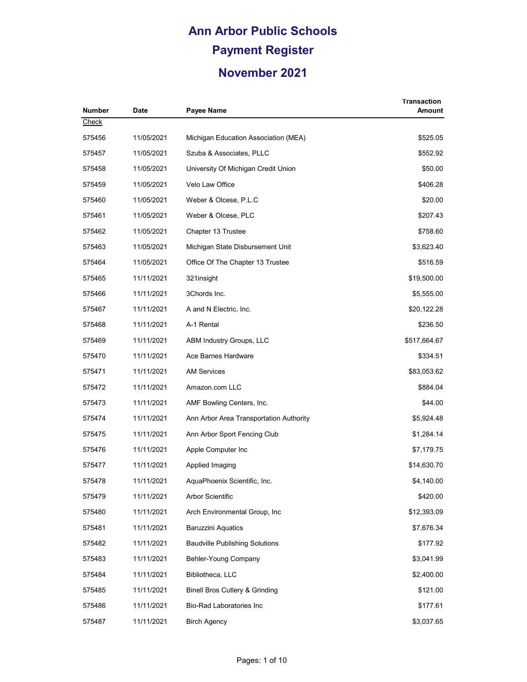| <b>Number</b> | <b>Date</b> | Payee Name                                | <b>Transaction</b><br>Amount |
|---------------|-------------|-------------------------------------------|------------------------------|
| Check         |             |                                           |                              |
| 575456        | 11/05/2021  | Michigan Education Association (MEA)      | \$525.05                     |
| 575457        | 11/05/2021  | Szuba & Associates, PLLC                  | \$552.92                     |
| 575458        | 11/05/2021  | University Of Michigan Credit Union       | \$50.00                      |
| 575459        | 11/05/2021  | Velo Law Office                           | \$406.28                     |
| 575460        | 11/05/2021  | Weber & Olcese, P.L.C                     | \$20.00                      |
| 575461        | 11/05/2021  | Weber & Olcese, PLC                       | \$207.43                     |
| 575462        | 11/05/2021  | Chapter 13 Trustee                        | \$758.60                     |
| 575463        | 11/05/2021  | Michigan State Disbursement Unit          | \$3,623.40                   |
| 575464        | 11/05/2021  | Office Of The Chapter 13 Trustee          | \$516.59                     |
| 575465        | 11/11/2021  | 321insight                                | \$19,500.00                  |
| 575466        | 11/11/2021  | 3Chords Inc.                              | \$5,555.00                   |
| 575467        | 11/11/2021  | A and N Electric, Inc.                    | \$20,122.28                  |
| 575468        | 11/11/2021  | A-1 Rental                                | \$236.50                     |
| 575469        | 11/11/2021  | ABM Industry Groups, LLC                  | \$517,664.67                 |
| 575470        | 11/11/2021  | Ace Barnes Hardware                       | \$334.51                     |
| 575471        | 11/11/2021  | <b>AM Services</b>                        | \$83,053.62                  |
| 575472        | 11/11/2021  | Amazon.com LLC                            | \$884.04                     |
| 575473        | 11/11/2021  | AMF Bowling Centers, Inc.                 | \$44.00                      |
| 575474        | 11/11/2021  | Ann Arbor Area Transportation Authority   | \$5,924.48                   |
| 575475        | 11/11/2021  | Ann Arbor Sport Fencing Club              | \$1,284.14                   |
| 575476        | 11/11/2021  | Apple Computer Inc                        | \$7,179.75                   |
| 575477        | 11/11/2021  | Applied Imaging                           | \$14,630.70                  |
| 575478        | 11/11/2021  | AquaPhoenix Scientific, Inc.              | \$4,140.00                   |
| 575479        | 11/11/2021  | Arbor Scientific                          | \$420.00                     |
| 575480        | 11/11/2021  | Arch Environmental Group, Inc.            | \$12,393.09                  |
| 575481        | 11/11/2021  | <b>Baruzzini Aquatics</b>                 | \$7,676.34                   |
| 575482        | 11/11/2021  | <b>Baudville Publishing Solutions</b>     | \$177.92                     |
| 575483        | 11/11/2021  | Behler-Young Company                      | \$3,041.99                   |
| 575484        | 11/11/2021  | Bibliotheca, LLC                          | \$2,400.00                   |
| 575485        | 11/11/2021  | <b>Binell Bros Cutlery &amp; Grinding</b> | \$121.00                     |
| 575486        | 11/11/2021  | <b>Bio-Rad Laboratories Inc</b>           | \$177.61                     |
| 575487        | 11/11/2021  | <b>Birch Agency</b>                       | \$3,037.65                   |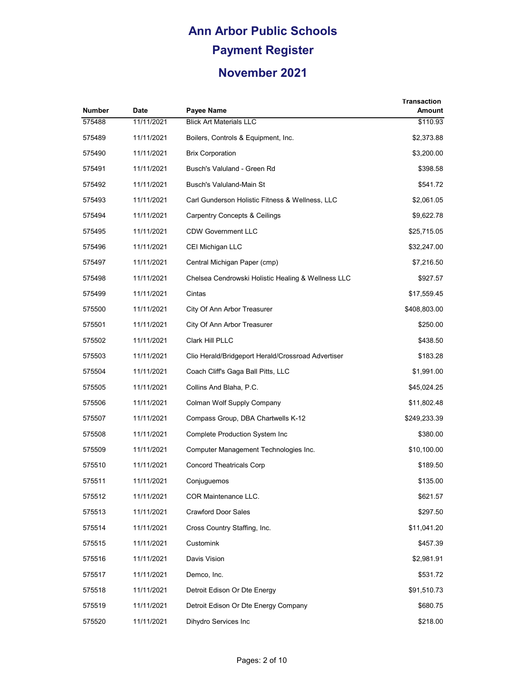| <b>Number</b> | <b>Date</b> | Payee Name                                         | <b>Transaction</b><br>Amount |
|---------------|-------------|----------------------------------------------------|------------------------------|
| 575488        | 11/11/2021  | <b>Blick Art Materials LLC</b>                     | \$110.93                     |
| 575489        | 11/11/2021  | Boilers, Controls & Equipment, Inc.                | \$2,373.88                   |
| 575490        | 11/11/2021  | <b>Brix Corporation</b>                            | \$3,200.00                   |
| 575491        | 11/11/2021  | Busch's Valuland - Green Rd                        | \$398.58                     |
| 575492        | 11/11/2021  | Busch's Valuland-Main St                           | \$541.72                     |
| 575493        | 11/11/2021  | Carl Gunderson Holistic Fitness & Wellness, LLC    | \$2,061.05                   |
| 575494        | 11/11/2021  | <b>Carpentry Concepts &amp; Ceilings</b>           | \$9,622.78                   |
| 575495        | 11/11/2021  | <b>CDW Government LLC</b>                          | \$25,715.05                  |
| 575496        | 11/11/2021  | CEI Michigan LLC                                   | \$32,247.00                  |
| 575497        | 11/11/2021  | Central Michigan Paper (cmp)                       | \$7,216.50                   |
| 575498        | 11/11/2021  | Chelsea Cendrowski Holistic Healing & Wellness LLC | \$927.57                     |
| 575499        | 11/11/2021  | Cintas                                             | \$17,559.45                  |
| 575500        | 11/11/2021  | City Of Ann Arbor Treasurer                        | \$408,803.00                 |
| 575501        | 11/11/2021  | City Of Ann Arbor Treasurer                        | \$250.00                     |
| 575502        | 11/11/2021  | Clark Hill PLLC                                    | \$438.50                     |
| 575503        | 11/11/2021  | Clio Herald/Bridgeport Herald/Crossroad Advertiser | \$183.28                     |
| 575504        | 11/11/2021  | Coach Cliff's Gaga Ball Pitts, LLC                 | \$1,991.00                   |
| 575505        | 11/11/2021  | Collins And Blaha, P.C.                            | \$45,024.25                  |
| 575506        | 11/11/2021  | Colman Wolf Supply Company                         | \$11,802.48                  |
| 575507        | 11/11/2021  | Compass Group, DBA Chartwells K-12                 | \$249,233.39                 |
| 575508        | 11/11/2021  | <b>Complete Production System Inc</b>              | \$380.00                     |
| 575509        | 11/11/2021  | Computer Management Technologies Inc.              | \$10,100.00                  |
| 575510        | 11/11/2021  | <b>Concord Theatricals Corp</b>                    | \$189.50                     |
| 575511        | 11/11/2021  | Conjuguemos                                        | \$135.00                     |
| 575512        | 11/11/2021  | COR Maintenance LLC.                               | \$621.57                     |
| 575513        | 11/11/2021  | <b>Crawford Door Sales</b>                         | \$297.50                     |
| 575514        | 11/11/2021  | Cross Country Staffing, Inc.                       | \$11,041.20                  |
| 575515        | 11/11/2021  | Customink                                          | \$457.39                     |
| 575516        | 11/11/2021  | Davis Vision                                       | \$2,981.91                   |
| 575517        | 11/11/2021  | Demco, Inc.                                        | \$531.72                     |
| 575518        | 11/11/2021  | Detroit Edison Or Dte Energy                       | \$91,510.73                  |
| 575519        | 11/11/2021  | Detroit Edison Or Dte Energy Company               | \$680.75                     |
| 575520        | 11/11/2021  | Dihydro Services Inc                               | \$218.00                     |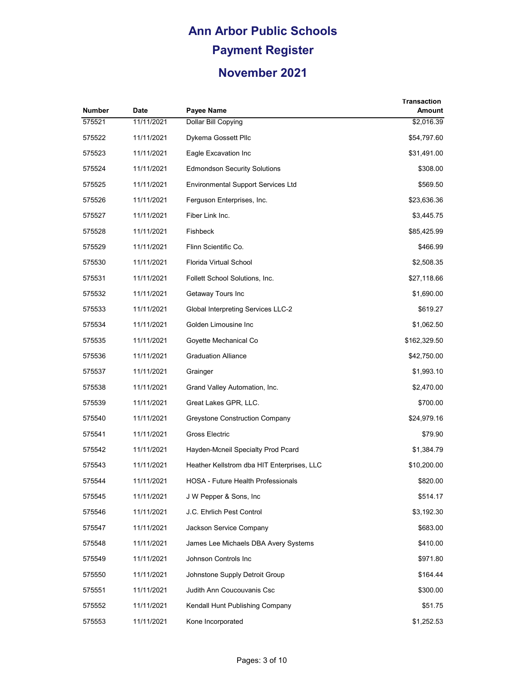| <b>Number</b> | Date       | Payee Name                                 | Transaction<br>Amount |
|---------------|------------|--------------------------------------------|-----------------------|
| 575521        | 11/11/2021 | Dollar Bill Copying                        | \$2,016.39            |
| 575522        | 11/11/2021 | Dykema Gossett Pllc                        | \$54,797.60           |
| 575523        | 11/11/2021 | Eagle Excavation Inc                       | \$31,491.00           |
| 575524        | 11/11/2021 | <b>Edmondson Security Solutions</b>        | \$308.00              |
| 575525        | 11/11/2021 | <b>Environmental Support Services Ltd</b>  | \$569.50              |
| 575526        | 11/11/2021 | Ferguson Enterprises, Inc.                 | \$23,636.36           |
| 575527        | 11/11/2021 | Fiber Link Inc.                            | \$3,445.75            |
| 575528        | 11/11/2021 | Fishbeck                                   | \$85,425.99           |
| 575529        | 11/11/2021 | Flinn Scientific Co.                       | \$466.99              |
| 575530        | 11/11/2021 | Florida Virtual School                     | \$2,508.35            |
| 575531        | 11/11/2021 | Follett School Solutions, Inc.             | \$27,118.66           |
| 575532        | 11/11/2021 | Getaway Tours Inc                          | \$1,690.00            |
| 575533        | 11/11/2021 | <b>Global Interpreting Services LLC-2</b>  | \$619.27              |
| 575534        | 11/11/2021 | Golden Limousine Inc                       | \$1,062.50            |
| 575535        | 11/11/2021 | Goyette Mechanical Co                      | \$162,329.50          |
| 575536        | 11/11/2021 | <b>Graduation Alliance</b>                 | \$42,750.00           |
| 575537        | 11/11/2021 | Grainger                                   | \$1,993.10            |
| 575538        | 11/11/2021 | Grand Valley Automation, Inc.              | \$2,470.00            |
| 575539        | 11/11/2021 | Great Lakes GPR, LLC.                      | \$700.00              |
| 575540        | 11/11/2021 | Greystone Construction Company             | \$24,979.16           |
| 575541        | 11/11/2021 | Gross Electric                             | \$79.90               |
| 575542        | 11/11/2021 | Hayden-Mcneil Specialty Prod Pcard         | \$1,384.79            |
| 575543        | 11/11/2021 | Heather Kellstrom dba HIT Enterprises, LLC | \$10,200.00           |
| 575544        | 11/11/2021 | <b>HOSA - Future Health Professionals</b>  | \$820.00              |
| 575545        | 11/11/2021 | J W Pepper & Sons, Inc.                    | \$514.17              |
| 575546        | 11/11/2021 | J.C. Ehrlich Pest Control                  | \$3,192.30            |
| 575547        | 11/11/2021 | Jackson Service Company                    | \$683.00              |
| 575548        | 11/11/2021 | James Lee Michaels DBA Avery Systems       | \$410.00              |
| 575549        | 11/11/2021 | Johnson Controls Inc                       | \$971.80              |
| 575550        | 11/11/2021 | Johnstone Supply Detroit Group             | \$164.44              |
| 575551        | 11/11/2021 | Judith Ann Coucouvanis Csc                 | \$300.00              |
| 575552        | 11/11/2021 | Kendall Hunt Publishing Company            | \$51.75               |
| 575553        | 11/11/2021 | Kone Incorporated                          | \$1,252.53            |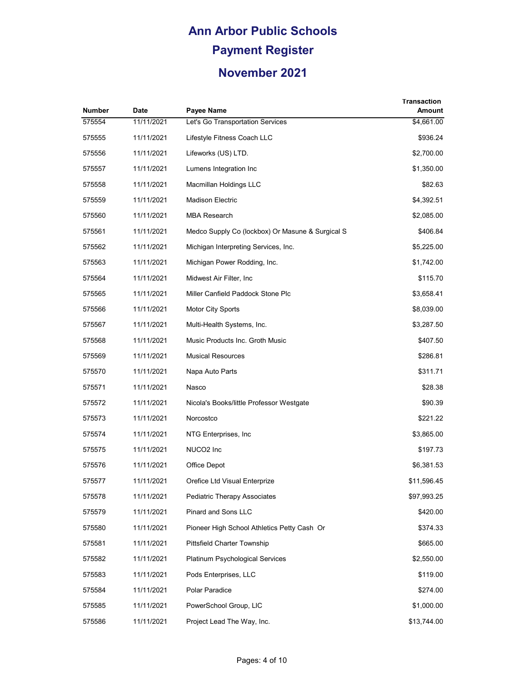| Number | <b>Date</b> | Payee Name                                       | Transaction<br>Amount |
|--------|-------------|--------------------------------------------------|-----------------------|
| 575554 | 11/11/2021  | Let's Go Transportation Services                 | \$4,661.00            |
| 575555 | 11/11/2021  | Lifestyle Fitness Coach LLC                      | \$936.24              |
| 575556 | 11/11/2021  | Lifeworks (US) LTD.                              | \$2,700.00            |
| 575557 | 11/11/2021  | Lumens Integration Inc.                          | \$1,350.00            |
| 575558 | 11/11/2021  | Macmillan Holdings LLC                           | \$82.63               |
| 575559 | 11/11/2021  | <b>Madison Electric</b>                          | \$4,392.51            |
| 575560 | 11/11/2021  | <b>MBA Research</b>                              | \$2,085.00            |
| 575561 | 11/11/2021  | Medco Supply Co (lockbox) Or Masune & Surgical S | \$406.84              |
| 575562 | 11/11/2021  | Michigan Interpreting Services, Inc.             | \$5,225.00            |
| 575563 | 11/11/2021  | Michigan Power Rodding, Inc.                     | \$1,742.00            |
| 575564 | 11/11/2021  | Midwest Air Filter, Inc.                         | \$115.70              |
| 575565 | 11/11/2021  | Miller Canfield Paddock Stone Plc                | \$3,658.41            |
| 575566 | 11/11/2021  | Motor City Sports                                | \$8,039.00            |
| 575567 | 11/11/2021  | Multi-Health Systems, Inc.                       | \$3,287.50            |
| 575568 | 11/11/2021  | Music Products Inc. Groth Music                  | \$407.50              |
| 575569 | 11/11/2021  | <b>Musical Resources</b>                         | \$286.81              |
| 575570 | 11/11/2021  | Napa Auto Parts                                  | \$311.71              |
| 575571 | 11/11/2021  | Nasco                                            | \$28.38               |
| 575572 | 11/11/2021  | Nicola's Books/little Professor Westgate         | \$90.39               |
| 575573 | 11/11/2021  | Norcostco                                        | \$221.22              |
| 575574 | 11/11/2021  | NTG Enterprises, Inc.                            | \$3,865.00            |
| 575575 | 11/11/2021  | NUCO <sub>2</sub> Inc                            | \$197.73              |
| 575576 | 11/11/2021  | Office Depot                                     | \$6,381.53            |
| 575577 | 11/11/2021  | Orefice Ltd Visual Enterprize                    | \$11,596.45           |
| 575578 | 11/11/2021  | <b>Pediatric Therapy Associates</b>              | \$97,993.25           |
| 575579 | 11/11/2021  | Pinard and Sons LLC                              | \$420.00              |
| 575580 | 11/11/2021  | Pioneer High School Athletics Petty Cash Or      | \$374.33              |
| 575581 | 11/11/2021  | Pittsfield Charter Township                      | \$665.00              |
| 575582 | 11/11/2021  | Platinum Psychological Services                  | \$2,550.00            |
| 575583 | 11/11/2021  | Pods Enterprises, LLC                            | \$119.00              |
| 575584 | 11/11/2021  | Polar Paradice                                   | \$274.00              |
| 575585 | 11/11/2021  | PowerSchool Group, LIC                           | \$1,000.00            |
| 575586 | 11/11/2021  | Project Lead The Way, Inc.                       | \$13,744.00           |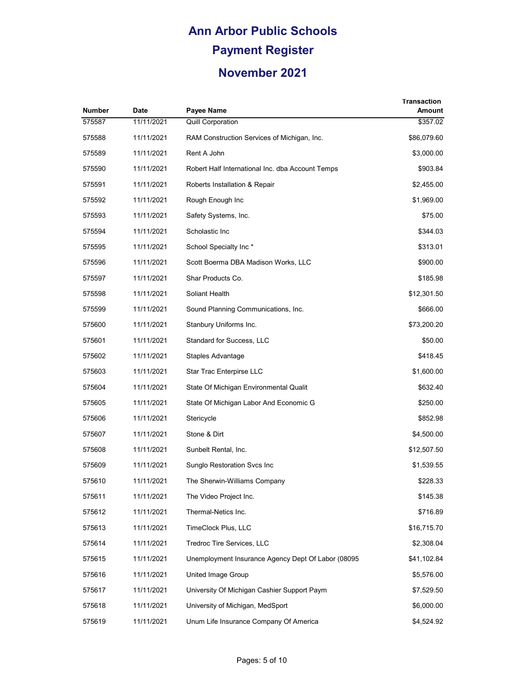| Number | <b>Date</b> | Payee Name                                         | Transaction<br>Amount |
|--------|-------------|----------------------------------------------------|-----------------------|
| 575587 | 11/11/2021  | <b>Quill Corporation</b>                           | \$357.02              |
| 575588 | 11/11/2021  | RAM Construction Services of Michigan, Inc.        | \$86,079.60           |
| 575589 | 11/11/2021  | Rent A John                                        | \$3,000.00            |
| 575590 | 11/11/2021  | Robert Half International Inc. dba Account Temps   | \$903.84              |
| 575591 | 11/11/2021  | Roberts Installation & Repair                      | \$2,455.00            |
| 575592 | 11/11/2021  | Rough Enough Inc                                   | \$1,969.00            |
| 575593 | 11/11/2021  | Safety Systems, Inc.                               | \$75.00               |
| 575594 | 11/11/2021  | Scholastic Inc                                     | \$344.03              |
| 575595 | 11/11/2021  | School Specialty Inc*                              | \$313.01              |
| 575596 | 11/11/2021  | Scott Boerma DBA Madison Works, LLC                | \$900.00              |
| 575597 | 11/11/2021  | Shar Products Co.                                  | \$185.98              |
| 575598 | 11/11/2021  | Soliant Health                                     | \$12,301.50           |
| 575599 | 11/11/2021  | Sound Planning Communications, Inc.                | \$666.00              |
| 575600 | 11/11/2021  | Stanbury Uniforms Inc.                             | \$73,200.20           |
| 575601 | 11/11/2021  | Standard for Success, LLC                          | \$50.00               |
| 575602 | 11/11/2021  | Staples Advantage                                  | \$418.45              |
| 575603 | 11/11/2021  | Star Trac Enterpirse LLC                           | \$1,600.00            |
| 575604 | 11/11/2021  | State Of Michigan Environmental Qualit             | \$632.40              |
| 575605 | 11/11/2021  | State Of Michigan Labor And Economic G             | \$250.00              |
| 575606 | 11/11/2021  | Stericycle                                         | \$852.98              |
| 575607 | 11/11/2021  | Stone & Dirt                                       | \$4,500.00            |
| 575608 | 11/11/2021  | Sunbelt Rental, Inc.                               | \$12,507.50           |
| 575609 | 11/11/2021  | Sunglo Restoration Svcs Inc                        | \$1,539.55            |
| 575610 | 11/11/2021  | The Sherwin-Williams Company                       | \$228.33              |
| 575611 | 11/11/2021  | The Video Project Inc.                             | \$145.38              |
| 575612 | 11/11/2021  | Thermal-Netics Inc.                                | \$716.89              |
| 575613 | 11/11/2021  | TimeClock Plus, LLC                                | \$16,715.70           |
| 575614 | 11/11/2021  | Tredroc Tire Services, LLC                         | \$2,308.04            |
| 575615 | 11/11/2021  | Unemployment Insurance Agency Dept Of Labor (08095 | \$41,102.84           |
| 575616 | 11/11/2021  | United Image Group                                 | \$5,576.00            |
| 575617 | 11/11/2021  | University Of Michigan Cashier Support Paym        | \$7,529.50            |
| 575618 | 11/11/2021  | University of Michigan, MedSport                   | \$6,000.00            |
| 575619 | 11/11/2021  | Unum Life Insurance Company Of America             | \$4,524.92            |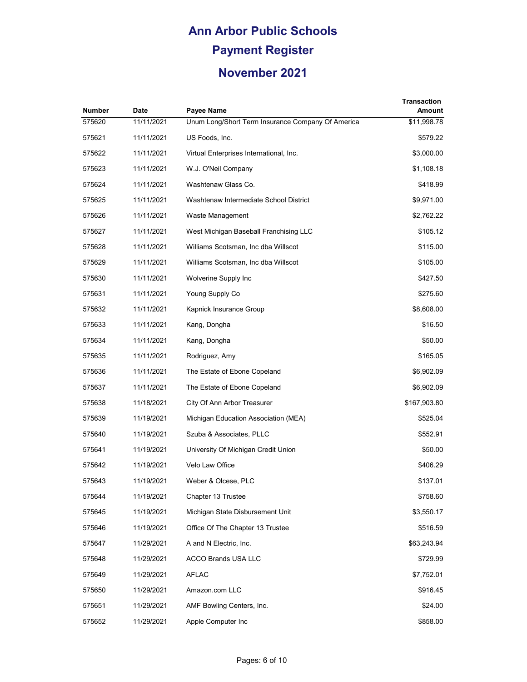| Number | <b>Date</b> | Payee Name                                        | <b>Transaction</b><br>Amount |
|--------|-------------|---------------------------------------------------|------------------------------|
| 575620 | 11/11/2021  | Unum Long/Short Term Insurance Company Of America | \$11,998.78                  |
| 575621 | 11/11/2021  | US Foods, Inc.                                    | \$579.22                     |
| 575622 | 11/11/2021  | Virtual Enterprises International, Inc.           | \$3,000.00                   |
| 575623 | 11/11/2021  | W.J. O'Neil Company                               | \$1,108.18                   |
| 575624 | 11/11/2021  | Washtenaw Glass Co.                               | \$418.99                     |
| 575625 | 11/11/2021  | Washtenaw Intermediate School District            | \$9,971.00                   |
| 575626 | 11/11/2021  | Waste Management                                  | \$2,762.22                   |
| 575627 | 11/11/2021  | West Michigan Baseball Franchising LLC            | \$105.12                     |
| 575628 | 11/11/2021  | Williams Scotsman, Inc dba Willscot               | \$115.00                     |
| 575629 | 11/11/2021  | Williams Scotsman, Inc dba Willscot               | \$105.00                     |
| 575630 | 11/11/2021  | Wolverine Supply Inc                              | \$427.50                     |
| 575631 | 11/11/2021  | Young Supply Co                                   | \$275.60                     |
| 575632 | 11/11/2021  | Kapnick Insurance Group                           | \$8,608.00                   |
| 575633 | 11/11/2021  | Kang, Dongha                                      | \$16.50                      |
| 575634 | 11/11/2021  | Kang, Dongha                                      | \$50.00                      |
| 575635 | 11/11/2021  | Rodriguez, Amy                                    | \$165.05                     |
| 575636 | 11/11/2021  | The Estate of Ebone Copeland                      | \$6,902.09                   |
| 575637 | 11/11/2021  | The Estate of Ebone Copeland                      | \$6,902.09                   |
| 575638 | 11/18/2021  | City Of Ann Arbor Treasurer                       | \$167,903.80                 |
| 575639 | 11/19/2021  | Michigan Education Association (MEA)              | \$525.04                     |
| 575640 | 11/19/2021  | Szuba & Associates, PLLC                          | \$552.91                     |
| 575641 | 11/19/2021  | University Of Michigan Credit Union               | \$50.00                      |
| 575642 | 11/19/2021  | Velo Law Office                                   | \$406.29                     |
| 575643 | 11/19/2021  | Weber & Olcese, PLC                               | \$137.01                     |
| 575644 | 11/19/2021  | Chapter 13 Trustee                                | \$758.60                     |
| 575645 | 11/19/2021  | Michigan State Disbursement Unit                  | \$3,550.17                   |
| 575646 | 11/19/2021  | Office Of The Chapter 13 Trustee                  | \$516.59                     |
| 575647 | 11/29/2021  | A and N Electric, Inc.                            | \$63,243.94                  |
| 575648 | 11/29/2021  | ACCO Brands USA LLC                               | \$729.99                     |
| 575649 | 11/29/2021  | <b>AFLAC</b>                                      | \$7,752.01                   |
| 575650 | 11/29/2021  | Amazon.com LLC                                    | \$916.45                     |
| 575651 | 11/29/2021  | AMF Bowling Centers, Inc.                         | \$24.00                      |
| 575652 | 11/29/2021  | Apple Computer Inc                                | \$858.00                     |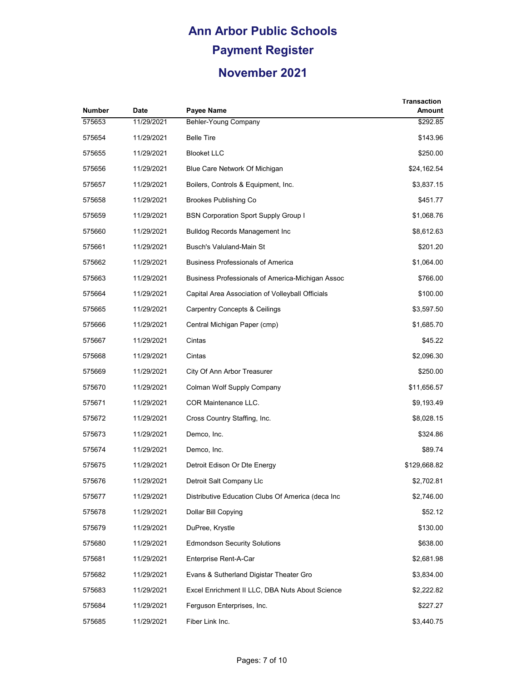| Number | Date       | Payee Name                                        | <b>Transaction</b><br>Amount |
|--------|------------|---------------------------------------------------|------------------------------|
| 575653 | 11/29/2021 | Behler-Young Company                              | \$292.85                     |
| 575654 | 11/29/2021 | <b>Belle Tire</b>                                 | \$143.96                     |
| 575655 | 11/29/2021 | <b>Blooket LLC</b>                                | \$250.00                     |
| 575656 | 11/29/2021 | Blue Care Network Of Michigan                     | \$24,162.54                  |
| 575657 | 11/29/2021 | Boilers, Controls & Equipment, Inc.               | \$3,837.15                   |
| 575658 | 11/29/2021 | <b>Brookes Publishing Co</b>                      | \$451.77                     |
| 575659 | 11/29/2021 | <b>BSN Corporation Sport Supply Group I</b>       | \$1,068.76                   |
| 575660 | 11/29/2021 | Bulldog Records Management Inc                    | \$8,612.63                   |
| 575661 | 11/29/2021 | Busch's Valuland-Main St                          | \$201.20                     |
| 575662 | 11/29/2021 | <b>Business Professionals of America</b>          | \$1,064.00                   |
| 575663 | 11/29/2021 | Business Professionals of America-Michigan Assoc  | \$766.00                     |
| 575664 | 11/29/2021 | Capital Area Association of Volleyball Officials  | \$100.00                     |
| 575665 | 11/29/2021 | <b>Carpentry Concepts &amp; Ceilings</b>          | \$3,597.50                   |
| 575666 | 11/29/2021 | Central Michigan Paper (cmp)                      | \$1,685.70                   |
| 575667 | 11/29/2021 | Cintas                                            | \$45.22                      |
| 575668 | 11/29/2021 | Cintas                                            | \$2,096.30                   |
| 575669 | 11/29/2021 | City Of Ann Arbor Treasurer                       | \$250.00                     |
| 575670 | 11/29/2021 | Colman Wolf Supply Company                        | \$11,656.57                  |
| 575671 | 11/29/2021 | COR Maintenance LLC.                              | \$9,193.49                   |
| 575672 | 11/29/2021 | Cross Country Staffing, Inc.                      | \$8,028.15                   |
| 575673 | 11/29/2021 | Demco, Inc.                                       | \$324.86                     |
| 575674 | 11/29/2021 | Demco, Inc.                                       | \$89.74                      |
| 575675 | 11/29/2021 | Detroit Edison Or Dte Energy                      | \$129,668.82                 |
| 575676 | 11/29/2021 | Detroit Salt Company Llc                          | \$2,702.81                   |
| 575677 | 11/29/2021 | Distributive Education Clubs Of America (deca Inc | \$2,746.00                   |
| 575678 | 11/29/2021 | Dollar Bill Copying                               | \$52.12                      |
| 575679 | 11/29/2021 | DuPree, Krystle                                   | \$130.00                     |
| 575680 | 11/29/2021 | <b>Edmondson Security Solutions</b>               | \$638.00                     |
| 575681 | 11/29/2021 | Enterprise Rent-A-Car                             | \$2,681.98                   |
| 575682 | 11/29/2021 | Evans & Sutherland Digistar Theater Gro           | \$3,834.00                   |
| 575683 | 11/29/2021 | Excel Enrichment II LLC, DBA Nuts About Science   | \$2,222.82                   |
| 575684 | 11/29/2021 | Ferguson Enterprises, Inc.                        | \$227.27                     |
| 575685 | 11/29/2021 | Fiber Link Inc.                                   | \$3,440.75                   |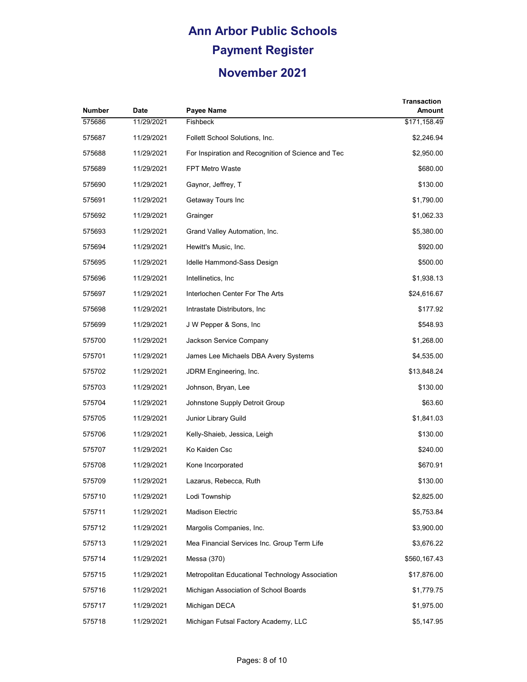| Number | Date       | Payee Name                                         | <b>Transaction</b><br>Amount |
|--------|------------|----------------------------------------------------|------------------------------|
| 575686 | 11/29/2021 | Fishbeck                                           | \$171,158.49                 |
| 575687 | 11/29/2021 | Follett School Solutions, Inc.                     | \$2,246.94                   |
| 575688 | 11/29/2021 | For Inspiration and Recognition of Science and Tec | \$2,950.00                   |
| 575689 | 11/29/2021 | <b>FPT Metro Waste</b>                             | \$680.00                     |
| 575690 | 11/29/2021 | Gaynor, Jeffrey, T                                 | \$130.00                     |
| 575691 | 11/29/2021 | Getaway Tours Inc                                  | \$1,790.00                   |
| 575692 | 11/29/2021 | Grainger                                           | \$1,062.33                   |
| 575693 | 11/29/2021 | Grand Valley Automation, Inc.                      | \$5,380.00                   |
| 575694 | 11/29/2021 | Hewitt's Music, Inc.                               | \$920.00                     |
| 575695 | 11/29/2021 | Idelle Hammond-Sass Design                         | \$500.00                     |
| 575696 | 11/29/2021 | Intellinetics, Inc.                                | \$1,938.13                   |
| 575697 | 11/29/2021 | Interlochen Center For The Arts                    | \$24,616.67                  |
| 575698 | 11/29/2021 | Intrastate Distributors, Inc.                      | \$177.92                     |
| 575699 | 11/29/2021 | J W Pepper & Sons, Inc.                            | \$548.93                     |
| 575700 | 11/29/2021 | Jackson Service Company                            | \$1,268.00                   |
| 575701 | 11/29/2021 | James Lee Michaels DBA Avery Systems               | \$4,535.00                   |
| 575702 | 11/29/2021 | JDRM Engineering, Inc.                             | \$13,848.24                  |
| 575703 | 11/29/2021 | Johnson, Bryan, Lee                                | \$130.00                     |
| 575704 | 11/29/2021 | Johnstone Supply Detroit Group                     | \$63.60                      |
| 575705 | 11/29/2021 | Junior Library Guild                               | \$1,841.03                   |
| 575706 | 11/29/2021 | Kelly-Shaieb, Jessica, Leigh                       | \$130.00                     |
| 575707 | 11/29/2021 | Ko Kaiden Csc                                      | \$240.00                     |
| 575708 | 11/29/2021 | Kone Incorporated                                  | \$670.91                     |
| 575709 | 11/29/2021 | Lazarus, Rebecca, Ruth                             | \$130.00                     |
| 575710 | 11/29/2021 | Lodi Township                                      | \$2,825.00                   |
| 575711 | 11/29/2021 | <b>Madison Electric</b>                            | \$5,753.84                   |
| 575712 | 11/29/2021 | Margolis Companies, Inc.                           | \$3,900.00                   |
| 575713 | 11/29/2021 | Mea Financial Services Inc. Group Term Life        | \$3,676.22                   |
| 575714 | 11/29/2021 | Messa (370)                                        | \$560,167.43                 |
| 575715 | 11/29/2021 | Metropolitan Educational Technology Association    | \$17,876.00                  |
| 575716 | 11/29/2021 | Michigan Association of School Boards              | \$1,779.75                   |
| 575717 | 11/29/2021 | Michigan DECA                                      | \$1,975.00                   |
| 575718 | 11/29/2021 | Michigan Futsal Factory Academy, LLC               | \$5,147.95                   |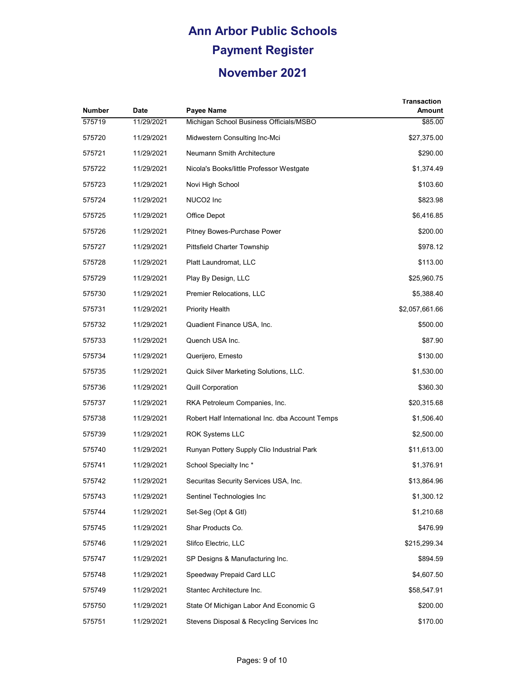| Number | <b>Date</b> | Payee Name                                       | Transaction<br>Amount |
|--------|-------------|--------------------------------------------------|-----------------------|
| 575719 | 11/29/2021  | Michigan School Business Officials/MSBO          | \$85.00               |
| 575720 | 11/29/2021  | Midwestern Consulting Inc-Mci                    | \$27,375.00           |
| 575721 | 11/29/2021  | Neumann Smith Architecture                       | \$290.00              |
| 575722 | 11/29/2021  | Nicola's Books/little Professor Westgate         | \$1,374.49            |
| 575723 | 11/29/2021  | Novi High School                                 | \$103.60              |
| 575724 | 11/29/2021  | NUCO2 Inc                                        | \$823.98              |
| 575725 | 11/29/2021  | Office Depot                                     | \$6,416.85            |
| 575726 | 11/29/2021  | Pitney Bowes-Purchase Power                      | \$200.00              |
| 575727 | 11/29/2021  | Pittsfield Charter Township                      | \$978.12              |
| 575728 | 11/29/2021  | Platt Laundromat, LLC                            | \$113.00              |
| 575729 | 11/29/2021  | Play By Design, LLC                              | \$25,960.75           |
| 575730 | 11/29/2021  | Premier Relocations, LLC                         | \$5,388.40            |
| 575731 | 11/29/2021  | <b>Priority Health</b>                           | \$2,057,661.66        |
| 575732 | 11/29/2021  | Quadient Finance USA, Inc.                       | \$500.00              |
| 575733 | 11/29/2021  | Quench USA Inc.                                  | \$87.90               |
| 575734 | 11/29/2021  | Querijero, Ernesto                               | \$130.00              |
| 575735 | 11/29/2021  | Quick Silver Marketing Solutions, LLC.           | \$1,530.00            |
| 575736 | 11/29/2021  | <b>Quill Corporation</b>                         | \$360.30              |
| 575737 | 11/29/2021  | RKA Petroleum Companies, Inc.                    | \$20,315.68           |
| 575738 | 11/29/2021  | Robert Half International Inc. dba Account Temps | \$1,506.40            |
| 575739 | 11/29/2021  | <b>ROK Systems LLC</b>                           | \$2,500.00            |
| 575740 | 11/29/2021  | Runyan Pottery Supply Clio Industrial Park       | \$11,613.00           |
| 575741 | 11/29/2021  | School Specialty Inc*                            | \$1,376.91            |
| 575742 | 11/29/2021  | Securitas Security Services USA, Inc.            | \$13,864.96           |
| 575743 | 11/29/2021  | Sentinel Technologies Inc                        | \$1,300.12            |
| 575744 | 11/29/2021  | Set-Seg (Opt & Gtl)                              | \$1,210.68            |
| 575745 | 11/29/2021  | Shar Products Co.                                | \$476.99              |
| 575746 | 11/29/2021  | Slifco Electric, LLC                             | \$215,299.34          |
| 575747 | 11/29/2021  | SP Designs & Manufacturing Inc.                  | \$894.59              |
| 575748 | 11/29/2021  | Speedway Prepaid Card LLC                        | \$4,607.50            |
| 575749 | 11/29/2021  | Stantec Architecture Inc.                        | \$58,547.91           |
| 575750 | 11/29/2021  | State Of Michigan Labor And Economic G           | \$200.00              |
| 575751 | 11/29/2021  | Stevens Disposal & Recycling Services Inc        | \$170.00              |